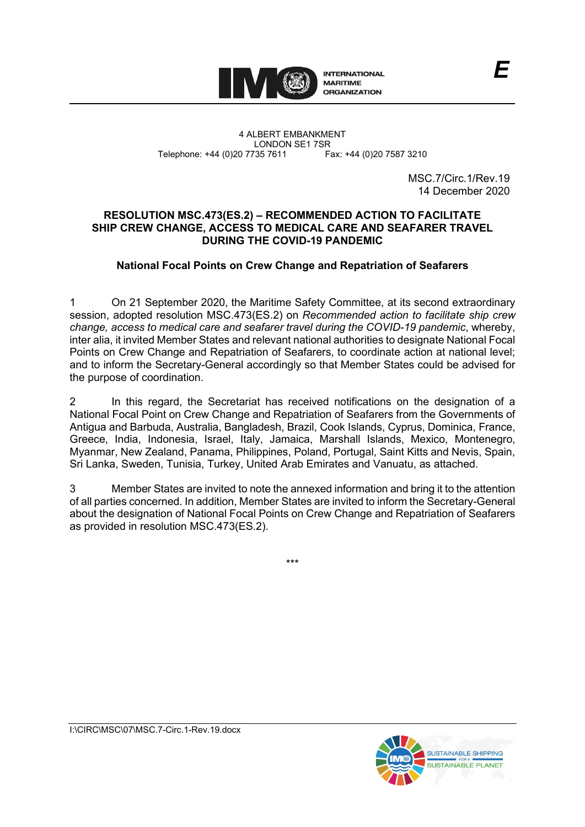

4 ALBERT EMBANKMENT Telephone: +44 (0)20 7735 7611

LONDON SE1 7SR<br>735 7611 Fax: +44 (0)20 7587 3210

MSC.7/Circ.1/Rev.19 14 December 2020

## **RESOLUTION MSC.473(ES.2) – RECOMMENDED ACTION TO FACILITATE SHIP CREW CHANGE, ACCESS TO MEDICAL CARE AND SEAFARER TRAVEL DURING THE COVID-19 PANDEMIC**

# **National Focal Points on Crew Change and Repatriation of Seafarers**

1 On 21 September 2020, the Maritime Safety Committee, at its second extraordinary session, adopted resolution MSC.473(ES.2) on *Recommended action to facilitate ship crew change, access to medical care and seafarer travel during the COVID-19 pandemic*, whereby, inter alia, it invited Member States and relevant national authorities to designate National Focal Points on Crew Change and Repatriation of Seafarers, to coordinate action at national level; and to inform the Secretary-General accordingly so that Member States could be advised for the purpose of coordination.

2 In this regard, the Secretariat has received notifications on the designation of a National Focal Point on Crew Change and Repatriation of Seafarers from the Governments of Antigua and Barbuda, Australia, Bangladesh, Brazil, Cook Islands, Cyprus, Dominica, France, Greece, India, Indonesia, Israel, Italy, Jamaica, Marshall Islands, Mexico, Montenegro, Myanmar, New Zealand, Panama, Philippines, Poland, Portugal, Saint Kitts and Nevis, Spain, Sri Lanka, Sweden, Tunisia, Turkey, United Arab Emirates and Vanuatu, as attached.

3 Member States are invited to note the annexed information and bring it to the attention of all parties concerned. In addition, Member States are invited to inform the Secretary-General about the designation of National Focal Points on Crew Change and Repatriation of Seafarers as provided in resolution MSC.473(ES.2).

\*\*\*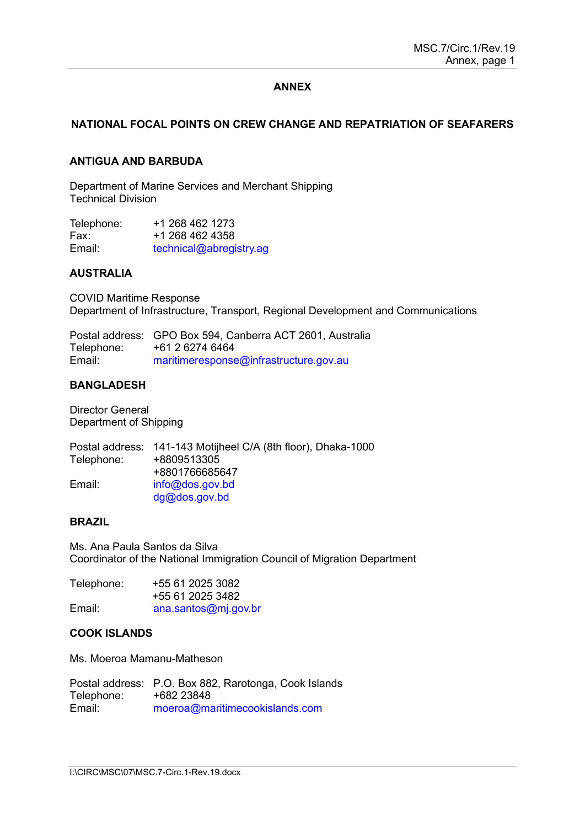## **ANNEX**

# **NATIONAL FOCAL POINTS ON CREW CHANGE AND REPATRIATION OF SEAFARERS**

### **ANTIGUA AND BARBUDA**

Department of Marine Services and Merchant Shipping Technical Division

| Telephone: | +1 268 462 1273         |
|------------|-------------------------|
| Fax:       | +1 268 462 4358         |
| Email:     | technical@abregistry.ag |

#### **AUSTRALIA**

COVID Maritime Response Department of Infrastructure, Transport, Regional Development and Communications

Postal address: GPO Box 594, Canberra ACT 2601, Australia Telephone: +61 2 6274 6464<br>Email: maritimeresponse [maritimeresponse@infrastructure.gov.au](mailto:maritimeresponse@infrastructure.gov.au)

### **BANGLADESH**

Director General Department of Shipping

|            | Postal address: 141-143 Motijheel C/A (8th floor), Dhaka-1000 |
|------------|---------------------------------------------------------------|
| Telephone: | +8809513305                                                   |
|            | +8801766685647                                                |
| Email:     | info@dos.gov.bd                                               |
|            | $dg@d$ os.gov.bd                                              |

### **BRAZIL**

Ms. Ana Paula Santos da Silva Coordinator of the National Immigration Council of Migration Department

| Telephone: | +55 61 2025 3082     |
|------------|----------------------|
|            | +55 61 2025 3482     |
| Email:     | ana.santos@mj.gov.br |

#### **COOK ISLANDS**

Ms. Moeroa Mamanu-Matheson

Postal address: P.O. Box 882, Rarotonga, Cook Islands Telephone: +682 23848 Email: [moeroa@maritimecookislands.com](mailto:moeroa@maritimecookislands.com)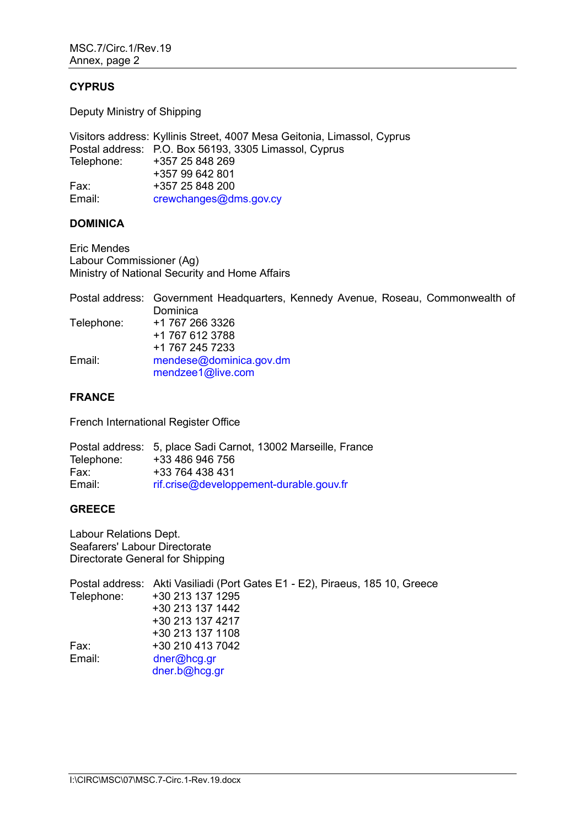### **CYPRUS**

Deputy Ministry of Shipping

Visitors address: Kyllinis Street, 4007 Mesa Geitonia, Limassol, Cyprus Postal address: P.O. Box 56193, 3305 Limassol, Cyprus +357 25 848 269 +357 99 642 801 Fax: +357 25 848 200 Email: [crewchanges@dms.gov.cy](mailto:crewchanges@dms.gov.cy)

## **DOMINICA**

Eric Mendes Labour Commissioner (Ag) Ministry of National Security and Home Affairs

Postal address: Government Headquarters, Kennedy Avenue, Roseau, Commonwealth of Dominica Telephone: +1 767 266 3326 +1 767 612 3788 +1 767 245 7233 Email: [mendese@dominica.gov.dm](mailto:mendese@dominica.gov.dm) [mendzee1@live.com](mailto:mendzee1@live.com)

## **FRANCE**

French International Register Office

Postal address: 5, place Sadi Carnot, 13002 Marseille, France Telephone: Fax: +33 764 438 431 Email: [rif.crise@developpement-durable.gouv.fr](mailto:rif.crise@developpement-durable.gouv.fr)

## **GREECE**

Labour Relations Dept. Seafarers' Labour Directorate Directorate General for Shipping

Postal address: Akti Vasiliadi (Port Gates E1 - E2), Piraeus, 185 10, Greece +30 213 137 1295 +30 213 137 1442 +30 213 137 4217 +30 213 137 1108 Fax: +30 210 413 7042 Email: [dner@hcg.gr](mailto:dner@hcg.gr) [dner.b@hcg.gr](mailto:dner.b@hcg.gr)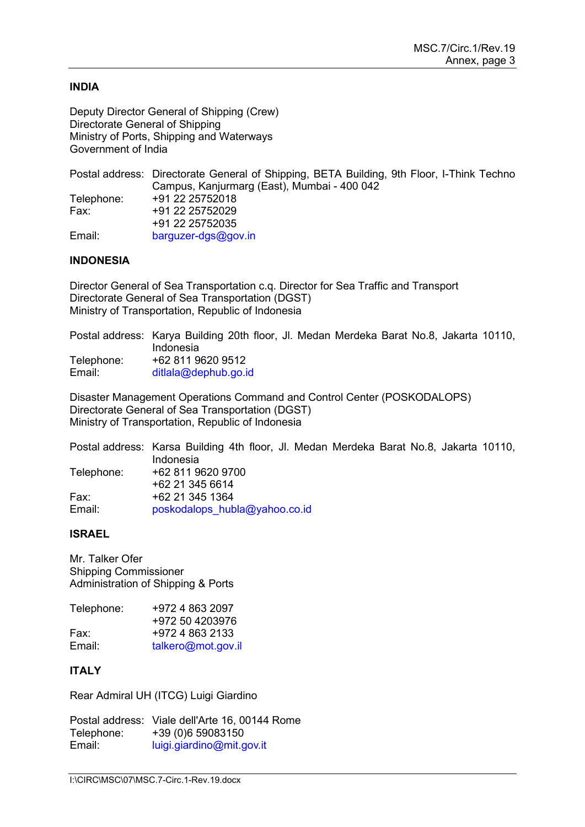### **INDIA**

Deputy Director General of Shipping (Crew) Directorate General of Shipping Ministry of Ports, Shipping and Waterways Government of India

|            | Postal address: Directorate General of Shipping, BETA Building, 9th Floor, I-Think Techno |
|------------|-------------------------------------------------------------------------------------------|
|            | Campus, Kanjurmarg (East), Mumbai - 400 042                                               |
| Telephone: | +91 22 25752018                                                                           |
| Fax:       | +91 22 25752029                                                                           |
|            | +91 22 25752035                                                                           |
| Email:     | $barquzer-dgs@gov.in$                                                                     |

## **INDONESIA**

Director General of Sea Transportation c.q. Director for Sea Traffic and Transport Directorate General of Sea Transportation (DGST) Ministry of Transportation, Republic of Indonesia

Postal address: Karya Building 20th floor, Jl. Medan Merdeka Barat No.8, Jakarta 10110, Indonesia Telephone: +62 811 9620 9512 Email: [ditlala@dephub.go.id](mailto:ditlala@dephub.go.id)

Disaster Management Operations Command and Control Center (POSKODALOPS) Directorate General of Sea Transportation (DGST) Ministry of Transportation, Republic of Indonesia

Postal address: Karsa Building 4th floor, Jl. Medan Merdeka Barat No.8, Jakarta 10110, Indonesia Telephone: +62 811 9620 9700 +62 21 345 6614 Fax: +62 21 345 1364 Email: [poskodalops\\_hubla@yahoo.co.id](mailto:poskodalops_hubla@yahoo.co.id)

## **ISRAEL**

Mr. Talker Ofer Shipping Commissioner Administration of Shipping & Ports

| Telephone: | +972 4 863 2097    |
|------------|--------------------|
|            | +972 50 4203976    |
| Fax:       | +972 4 863 2133    |
| Email:     | talkero@mot.gov.il |

## **ITALY**

Rear Admiral UH (ITCG) Luigi Giardino

Postal address: Viale dellʹArte 16, 00144 Rome Telephone: +39 (0)6 59083150<br>Fmail: buigi giardino@mit d [luigi.giardino@mit.gov.it](mailto:luigi.giardino@mit.gov.it)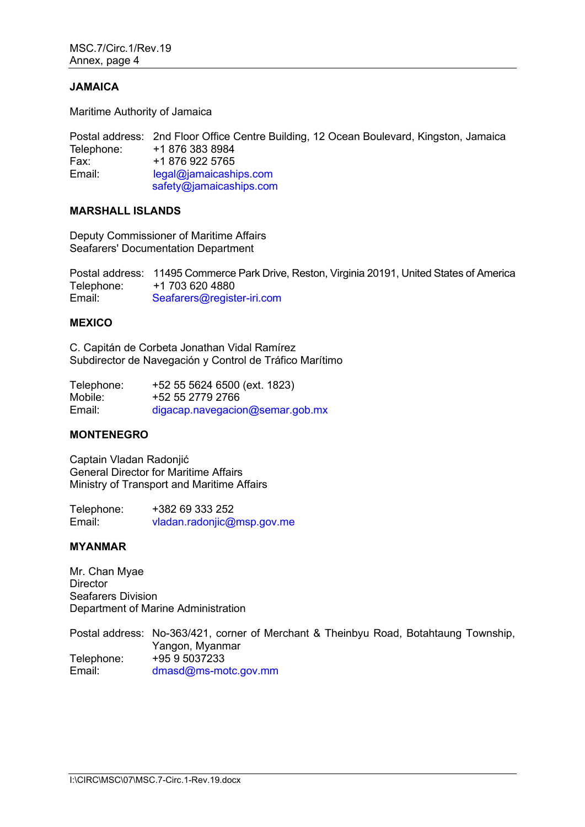### **JAMAICA**

Maritime Authority of Jamaica

Postal address: 2nd Floor Office Centre Building, 12 Ocean Boulevard, Kingston, Jamaica Telephone: +1 876 383 8984<br>Fax: +1 876 922 5765 +1 876 922 5765 Email: [legal@jamaicaships.com](mailto:legal@jamaicaships.com)  [safety@jamaicaships.com](mailto:safety@jamaicaships.com)

## **MARSHALL ISLANDS**

Deputy Commissioner of Maritime Affairs Seafarers' Documentation Department

Postal address: 11495 Commerce Park Drive, Reston, Virginia 20191, United States of America Telephone: +1 703 620 4880<br>Email: Seafarers@regist [Seafarers@register-iri.com](mailto:Seafarers@register-iri.com)

### **MEXICO**

C. Capitán de Corbeta Jonathan Vidal Ramírez Subdirector de Navegación y Control de Tráfico Marítimo

| Telephone: | +52 55 5624 6500 (ext. 1823)    |
|------------|---------------------------------|
| Mobile:    | +52 55 2779 2766                |
| Email:     | digacap.navegacion@semar.gob.mx |

# **MONTENEGRO**

Captain Vladan Radonjić General Director for Maritime Affairs Ministry of Transport and Maritime Affairs

Telephone:  $+38269333252$ <br>Email:  $\frac{V \cdot \text{V} \cdot \text{V}}{\text{V} \cdot \text{V}}$ [vladan.radonjic@msp.gov.me](mailto:vladan.radonjic@msp.gov.me)

## **MYANMAR**

Mr. Chan Myae **Director** Seafarers Division Department of Marine Administration

Postal address: No-363/421, corner of Merchant & Theinbyu Road, Botahtaung Township, Yangon, Myanmar Telephone: +95 9 5037233 Email: [dmasd@ms-motc.gov.mm](mailto:dmasd@ms-motc.gov.mm)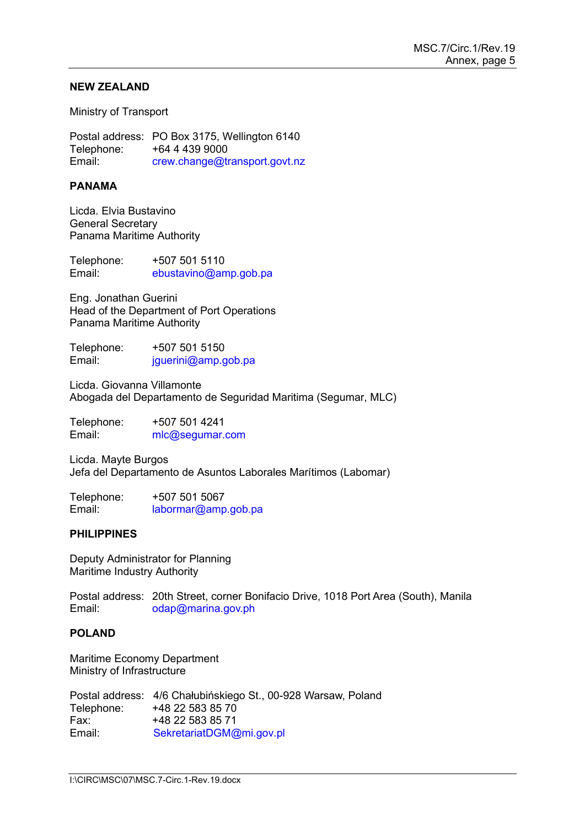### **NEW ZEALAND**

Ministry of Transport

Postal address: PO Box 3175, Wellington 6140 Telephone: +64 4 439 9000<br>Email: crew.change@ti [crew.change@transport.govt.nz](mailto:crew.change@transport.govt.nz)

### **PANAMA**

Licda. Elvia Bustavino General Secretary Panama Maritime Authority

Telephone: +507 501 5110<br>Email: ebustavino@an [ebustavino@amp.gob.pa](mailto:ebustavino@amp.gob.pa)

Eng. Jonathan Guerini Head of the Department of Port Operations Panama Maritime Authority

Telephone: +507 501 5150<br>Email: iquerini@amp.o  $jauerini@amp.qob.pa$ 

Licda. Giovanna Villamonte Abogada del Departamento de Seguridad Maritima (Segumar, MLC)

Telephone: +507 501 4241<br>Email: mlc@sequmar. mlc@segumar.com

Licda. Mayte Burgos Jefa del Departamento de Asuntos Laborales Marítimos (Labomar)

Telephone: +507 501 5067 Email: [labormar@amp.gob.pa](mailto:labormar@amp.gob.pa)

### **PHILIPPINES**

Deputy Administrator for Planning Maritime Industry Authority

Postal address: 20th Street, corner Bonifacio Drive, 1018 Port Area (South), Manila Email: [odap@marina.gov.ph](mailto:odap@marina.gov.ph)

## **POLAND**

Maritime Economy Department Ministry of Infrastructure

Postal address: 4/6 Chałubińskiego St., 00-928 Warsaw, Poland Telephone: +48 22 583 85 70 Fax: +48 22 583 85 71<br>Email: SekretariatDGM@ [SekretariatDGM@mi.gov.pl](mailto:SekretariatDGM@mi.gov.pl)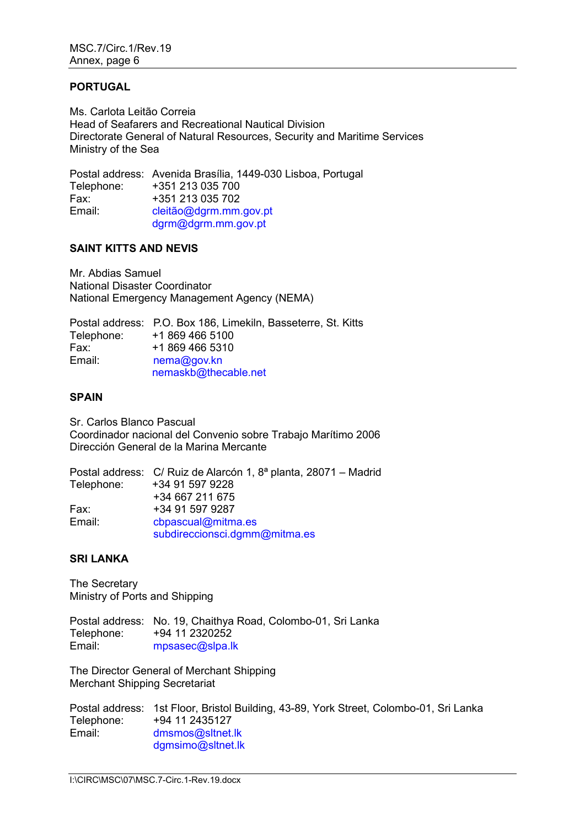### **PORTUGAL**

Ms. Carlota Leitão Correia Head of Seafarers and Recreational Nautical Division Directorate General of Natural Resources, Security and Maritime Services Ministry of the Sea

Postal address: Avenida Brasília, 1449-030 Lisboa, Portugal Telephone: +351 213 035 700 Fax: +351 213 035 702<br>Email: cleitão@dgrm.mm [cleitão@dgrm.mm.gov.pt](mailto:cleit%C3%A3o@dgrm.mm.gov.pt) [dgrm@dgrm.mm.gov.pt](mailto:dgrm@dgrm.mm.gov.pt)

## **SAINT KITTS AND NEVIS**

Mr. Abdias Samuel National Disaster Coordinator National Emergency Management Agency (NEMA)

|            | Postal address: P.O. Box 186, Limekiln, Basseterre, St. Kitts |
|------------|---------------------------------------------------------------|
| Telephone: | +1 869 466 5100                                               |
| Fax:       | +1 869 466 5310                                               |
| Email:     | nema@gov.kn                                                   |
|            | nemaskb@thecable.net                                          |

### **SPAIN**

Sr. Carlos Blanco Pascual Coordinador nacional del Convenio sobre Trabajo Marítimo 2006 Dirección General de la Marina Mercante

|            | Postal address: C/ Ruiz de Alarcón 1, 8ª planta, 28071 – Madrid |
|------------|-----------------------------------------------------------------|
| Telephone: | +34 91 597 9228                                                 |
|            | +34 667 211 675                                                 |
| Fax:       | +34 91 597 9287                                                 |
| Email:     | cbpascual@mitma.es                                              |
|            | subdireccionsci.dgmm@mitma.es                                   |

## **SRI LANKA**

The Secretary Ministry of Ports and Shipping

Postal address: No. 19, Chaithya Road, Colombo-01, Sri Lanka<br>Telephone: +94 11 2320252 +94 11 2320252 Email: [mpsasec@slpa.lk](mailto:mpsasec@slpa.lk)

The Director General of Merchant Shipping Merchant Shipping Secretariat

Postal address: 1st Floor, Bristol Building, 43-89, York Street, Colombo-01, Sri Lanka Telephone: +94 11 2435127 Email: [dmsmos@sltnet.lk](mailto:dmsmos@sltnet.lk) [dgmsimo@sltnet.lk](mailto:dgmsimo@sltnet.lk)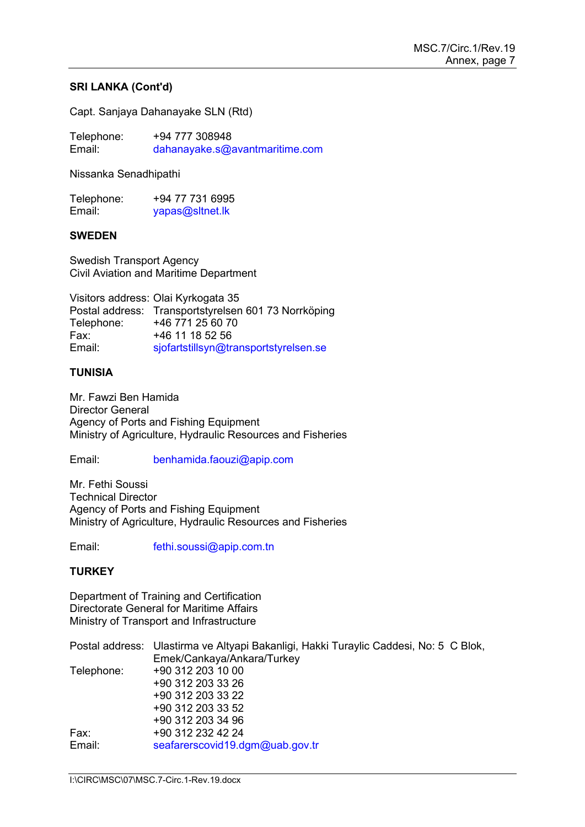## **SRI LANKA (Cont'd)**

Capt. Sanjaya Dahanayake SLN (Rtd)

Telephone:  $+94\,777\,308948$ <br>Email: dahanayake.s@a Email: [dahanayake.s@avantmaritime.com](mailto:dahanayake.s@avantmaritime.com)

Nissanka Senadhipathi

| Telephone: | +94 77 731 6995 |
|------------|-----------------|
| Email:     | yapas@sitnet.lk |

## **SWEDEN**

Swedish Transport Agency Civil Aviation and Maritime Department

Visitors address: Olai Kyrkogata 35 Postal address: Transportstyrelsen 601 73 Norrköping Telephone: +46 771 25 60 70<br>Fax: +46 11 18 52 56 Fax: +46 11 18 52 56<br>Email: siofartstillsvn@tr [sjofartstillsyn@transportstyrelsen.se](mailto:sjofartstillsyn@transportstyrelsen.se)

## **TUNISIA**

Mr. Fawzi Ben Hamida Director General Agency of Ports and Fishing Equipment Ministry of Agriculture, Hydraulic Resources and Fisheries

#### Email: [benhamida.faouzi@apip.com](mailto:benhamida.faouzi@apip.com)

Mr. Fethi Soussi Technical Director Agency of Ports and Fishing Equipment Ministry of Agriculture, Hydraulic Resources and Fisheries

Email: [fethi.soussi@apip.com.tn](mailto:fethi.soussi@apip.com.tn)

## **TURKEY**

Department of Training and Certification Directorate General for Maritime Affairs Ministry of Transport and Infrastructure

|            | Postal address: Ulastirma ve Altyapi Bakanligi, Hakki Turaylic Caddesi, No: 5 C Blok, |
|------------|---------------------------------------------------------------------------------------|
|            | Emek/Cankaya/Ankara/Turkey                                                            |
| Telephone: | +90 312 203 10 00                                                                     |
|            | +90 312 203 33 26                                                                     |
|            | +90 312 203 33 22                                                                     |
|            | +90 312 203 33 52                                                                     |
|            | +90 312 203 34 96                                                                     |
| Fax:       | +90 312 232 42 24                                                                     |
| Email:     | seafarerscovid19.dgm@uab.gov.tr                                                       |